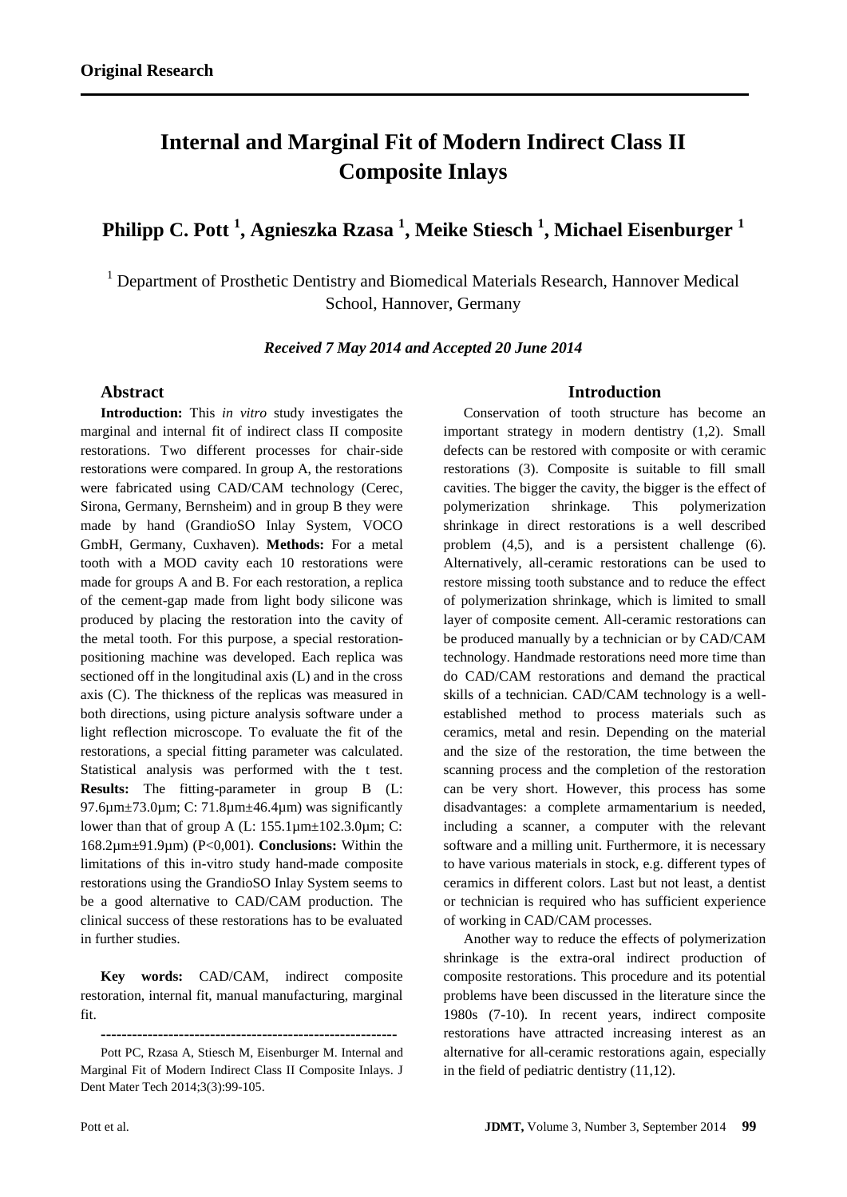# **Internal and Marginal Fit of Modern Indirect Class II Composite Inlays**

## **Philipp C. Pott <sup>1</sup> , Agnieszka Rzasa <sup>1</sup> , Meike Stiesch <sup>1</sup> , Michael Eisenburger <sup>1</sup>**

<sup>1</sup> Department of Prosthetic Dentistry and Biomedical Materials Research, Hannover Medical School, Hannover, Germany

*Received 7 May 2014 and Accepted 20 June 2014*

## **Abstract**

**Introduction:** This *in vitro* study investigates the marginal and internal fit of indirect class II composite restorations. Two different processes for chair-side restorations were compared. In group A, the restorations were fabricated using CAD/CAM technology (Cerec, Sirona, Germany, Bernsheim) and in group B they were made by hand (GrandioSO Inlay System, VOCO GmbH, Germany, Cuxhaven). **Methods:** For a metal tooth with a MOD cavity each 10 restorations were made for groups A and B. For each restoration, a replica of the cement-gap made from light body silicone was produced by placing the restoration into the cavity of the metal tooth. For this purpose, a special restorationpositioning machine was developed. Each replica was sectioned off in the longitudinal axis (L) and in the cross axis (C). The thickness of the replicas was measured in both directions, using picture analysis software under a light reflection microscope. To evaluate the fit of the restorations, a special fitting parameter was calculated. Statistical analysis was performed with the t test. **Results:** The fitting-parameter in group B (L: 97.6µm±73.0µm; C: 71.8µm±46.4µm) was significantly lower than that of group A (L: 155.1µm±102.3.0µm; C: 168.2µm±91.9µm) (P<0,001). **Conclusions:** Within the limitations of this in-vitro study hand-made composite restorations using the GrandioSO Inlay System seems to be a good alternative to CAD/CAM production. The clinical success of these restorations has to be evaluated in further studies.

**Key words:** CAD/CAM, indirect composite restoration, internal fit, manual manufacturing, marginal fit.

**---------------------------------------------------------**

Pott PC, Rzasa A, Stiesch M, Eisenburger M. Internal and Marginal Fit of Modern Indirect Class II Composite Inlays. J Dent Mater Tech 2014;3(3):99-105.

### **Introduction**

Conservation of tooth structure has become an important strategy in modern dentistry (1,2). Small defects can be restored with composite or with ceramic restorations (3). Composite is suitable to fill small cavities. The bigger the cavity, the bigger is the effect of polymerization shrinkage. This polymerization shrinkage in direct restorations is a well described problem (4,5), and is a persistent challenge (6). Alternatively, all-ceramic restorations can be used to restore missing tooth substance and to reduce the effect of polymerization shrinkage, which is limited to small layer of composite cement. All-ceramic restorations can be produced manually by a technician or by CAD/CAM technology. Handmade restorations need more time than do CAD/CAM restorations and demand the practical skills of a technician. CAD/CAM technology is a wellestablished method to process materials such as ceramics, metal and resin. Depending on the material and the size of the restoration, the time between the scanning process and the completion of the restoration can be very short. However, this process has some disadvantages: a complete armamentarium is needed, including a scanner, a computer with the relevant software and a milling unit. Furthermore, it is necessary to have various materials in stock, e.g. different types of ceramics in different colors. Last but not least, a dentist or technician is required who has sufficient experience of working in CAD/CAM processes.

Another way to reduce the effects of polymerization shrinkage is the extra-oral indirect production of composite restorations. This procedure and its potential problems have been discussed in the literature since the 1980s (7-10). In recent years, indirect composite restorations have attracted increasing interest as an alternative for all-ceramic restorations again, especially in the field of pediatric dentistry (11,12).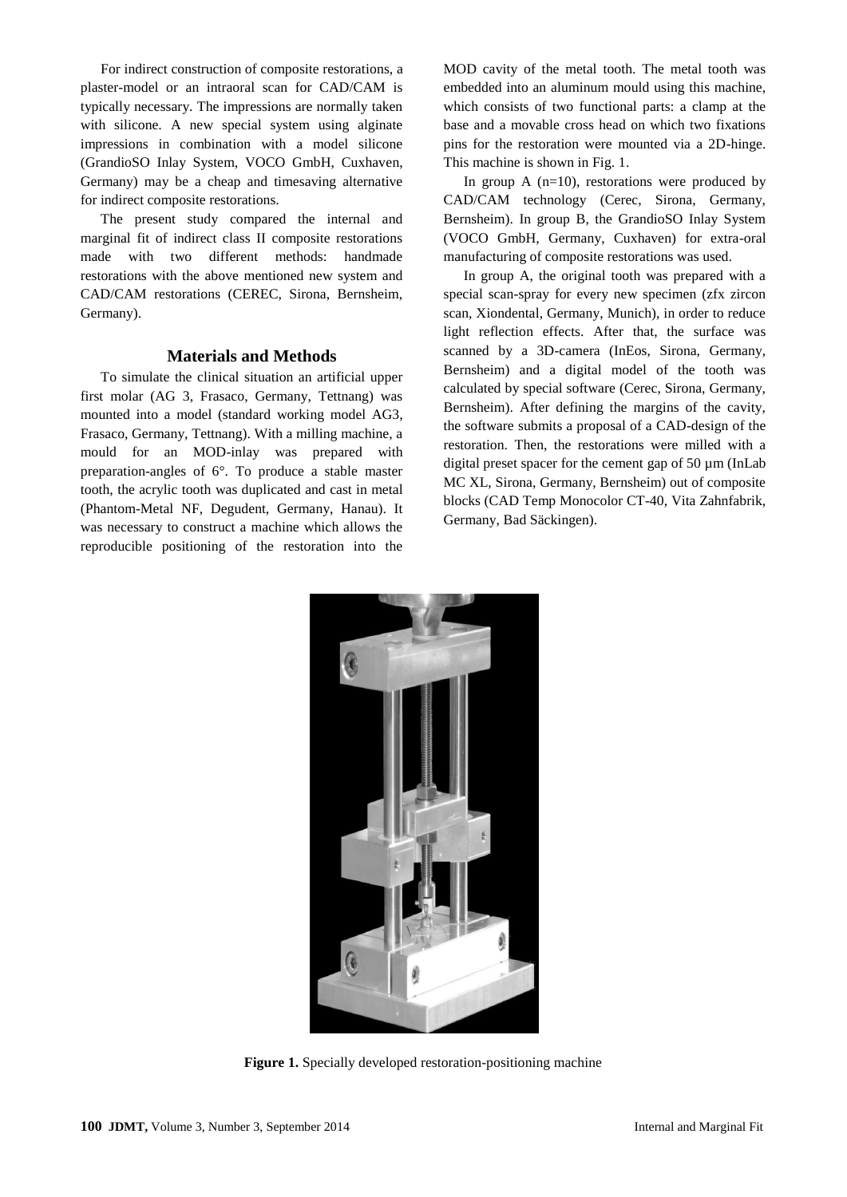For indirect construction of composite restorations, a plaster-model or an intraoral scan for CAD/CAM is typically necessary. The impressions are normally taken with silicone. A new special system using alginate impressions in combination with a model silicone (GrandioSO Inlay System, VOCO GmbH, Cuxhaven, Germany) may be a cheap and timesaving alternative for indirect composite restorations.

The present study compared the internal and marginal fit of indirect class II composite restorations made with two different methods: handmade restorations with the above mentioned new system and CAD/CAM restorations (CEREC, Sirona, Bernsheim, Germany).

## **Materials and Methods**

To simulate the clinical situation an artificial upper first molar (AG 3, Frasaco, Germany, Tettnang) was mounted into a model (standard working model AG3, Frasaco, Germany, Tettnang). With a milling machine, a mould for an MOD-inlay was prepared with preparation-angles of 6°. To produce a stable master tooth, the acrylic tooth was duplicated and cast in metal (Phantom-Metal NF, Degudent, Germany, Hanau). It was necessary to construct a machine which allows the reproducible positioning of the restoration into the

MOD cavity of the metal tooth. The metal tooth was embedded into an aluminum mould using this machine, which consists of two functional parts: a clamp at the base and a movable cross head on which two fixations pins for the restoration were mounted via a 2D-hinge. This machine is shown in Fig. 1.

In group A  $(n=10)$ , restorations were produced by CAD/CAM technology (Cerec, Sirona, Germany, Bernsheim). In group B, the GrandioSO Inlay System (VOCO GmbH, Germany, Cuxhaven) for extra-oral manufacturing of composite restorations was used.

In group A, the original tooth was prepared with a special scan-spray for every new specimen (zfx zircon scan, Xiondental, Germany, Munich), in order to reduce light reflection effects. After that, the surface was scanned by a 3D-camera (InEos, Sirona, Germany, Bernsheim) and a digital model of the tooth was calculated by special software (Cerec, Sirona, Germany, Bernsheim). After defining the margins of the cavity, the software submits a proposal of a CAD-design of the restoration. Then, the restorations were milled with a digital preset spacer for the cement gap of 50 µm (InLab MC XL, Sirona, Germany, Bernsheim) out of composite blocks (CAD Temp Monocolor CT-40, Vita Zahnfabrik, Germany, Bad Säckingen).



**Figure 1.** Specially developed restoration-positioning machine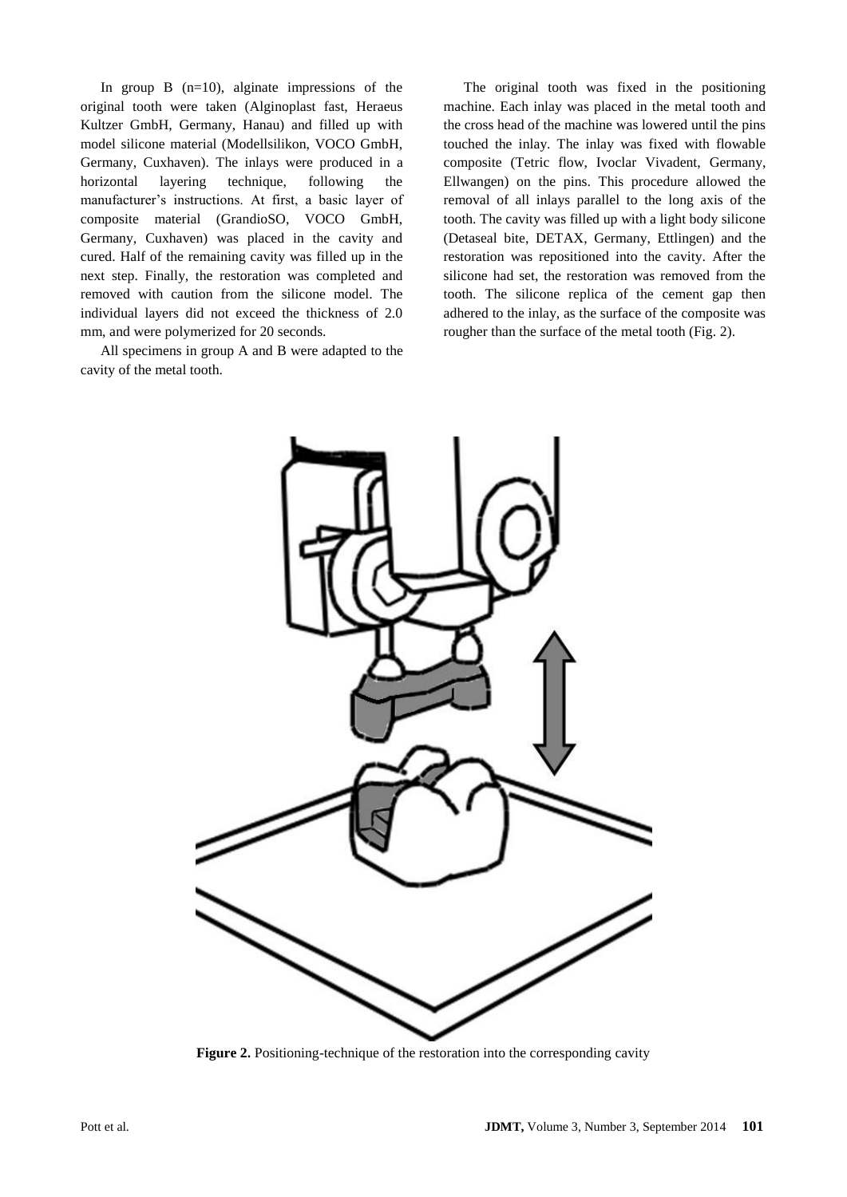In group  $B$  (n=10), alginate impressions of the original tooth were taken (Alginoplast fast, Heraeus Kultzer GmbH, Germany, Hanau) and filled up with model silicone material (Modellsilikon, VOCO GmbH, Germany, Cuxhaven). The inlays were produced in a horizontal layering technique, following the manufacturer's instructions. At first, a basic layer of composite material (GrandioSO, VOCO GmbH, Germany, Cuxhaven) was placed in the cavity and cured. Half of the remaining cavity was filled up in the next step. Finally, the restoration was completed and removed with caution from the silicone model. The individual layers did not exceed the thickness of 2.0 mm, and were polymerized for 20 seconds.

All specimens in group A and B were adapted to the cavity of the metal tooth.

The original tooth was fixed in the positioning machine. Each inlay was placed in the metal tooth and the cross head of the machine was lowered until the pins touched the inlay. The inlay was fixed with flowable composite (Tetric flow, Ivoclar Vivadent, Germany, Ellwangen) on the pins. This procedure allowed the removal of all inlays parallel to the long axis of the tooth. The cavity was filled up with a light body silicone (Detaseal bite, DETAX, Germany, Ettlingen) and the restoration was repositioned into the cavity. After the silicone had set, the restoration was removed from the tooth. The silicone replica of the cement gap then adhered to the inlay, as the surface of the composite was rougher than the surface of the metal tooth (Fig. 2).



**Figure 2.** Positioning-technique of the restoration into the corresponding cavity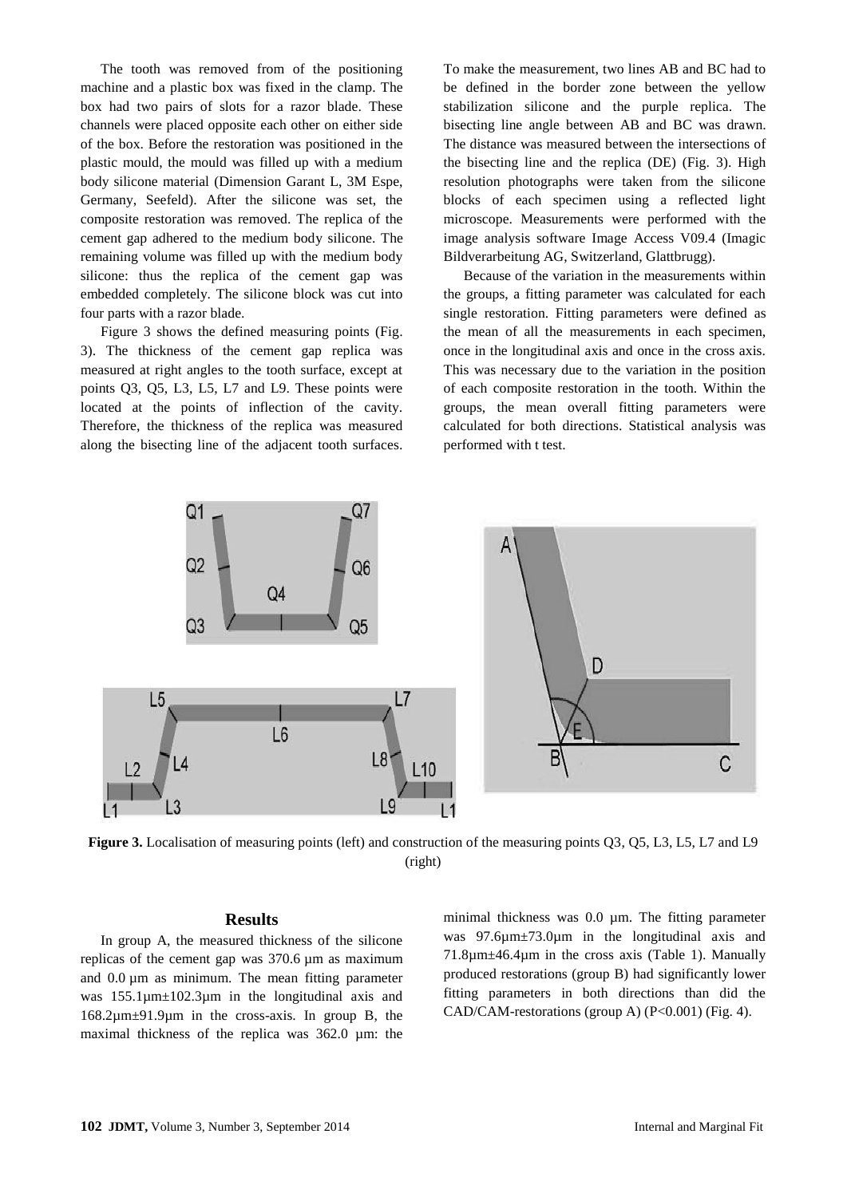The tooth was removed from of the positioning machine and a plastic box was fixed in the clamp. The box had two pairs of slots for a razor blade. These channels were placed opposite each other on either side of the box. Before the restoration was positioned in the plastic mould, the mould was filled up with a medium body silicone material (Dimension Garant L, 3M Espe, Germany, Seefeld). After the silicone was set, the composite restoration was removed. The replica of the cement gap adhered to the medium body silicone. The remaining volume was filled up with the medium body silicone: thus the replica of the cement gap was embedded completely. The silicone block was cut into four parts with a razor blade.

Figure 3 shows the defined measuring points (Fig. 3). The thickness of the cement gap replica was measured at right angles to the tooth surface, except at points Q3, Q5, L3, L5, L7 and L9. These points were located at the points of inflection of the cavity. Therefore, the thickness of the replica was measured along the bisecting line of the adjacent tooth surfaces.

To make the measurement, two lines AB and BC had to be defined in the border zone between the yellow stabilization silicone and the purple replica. The bisecting line angle between AB and BC was drawn. The distance was measured between the intersections of the bisecting line and the replica (DE) (Fig. 3). High resolution photographs were taken from the silicone blocks of each specimen using a reflected light microscope. Measurements were performed with the image analysis software Image Access V09.4 (Imagic Bildverarbeitung AG, Switzerland, Glattbrugg).

Because of the variation in the measurements within the groups, a fitting parameter was calculated for each single restoration. Fitting parameters were defined as the mean of all the measurements in each specimen, once in the longitudinal axis and once in the cross axis. This was necessary due to the variation in the position of each composite restoration in the tooth. Within the groups, the mean overall fitting parameters were calculated for both directions. Statistical analysis was performed with t test.



**Figure 3.** Localisation of measuring points (left) and construction of the measuring points Q3, Q5, L3, L5, L7 and L9 (right)

### **Results**

In group A, the measured thickness of the silicone replicas of the cement gap was 370.6 µm as maximum and 0.0  $\mu$ m as minimum. The mean fitting parameter was 155.1µm±102.3µm in the longitudinal axis and 168.2µm±91.9µm in the cross-axis. In group B, the maximal thickness of the replica was 362.0 µm: the minimal thickness was 0.0  $\mu$ m. The fitting parameter was 97.6 $\mu$ m  $\pm$ 73.0 $\mu$ m in the longitudinal axis and 71.8µm±46.4µm in the cross axis (Table 1). Manually produced restorations (group B) had significantly lower fitting parameters in both directions than did the CAD/CAM-restorations (group A) (P<0.001) (Fig. 4).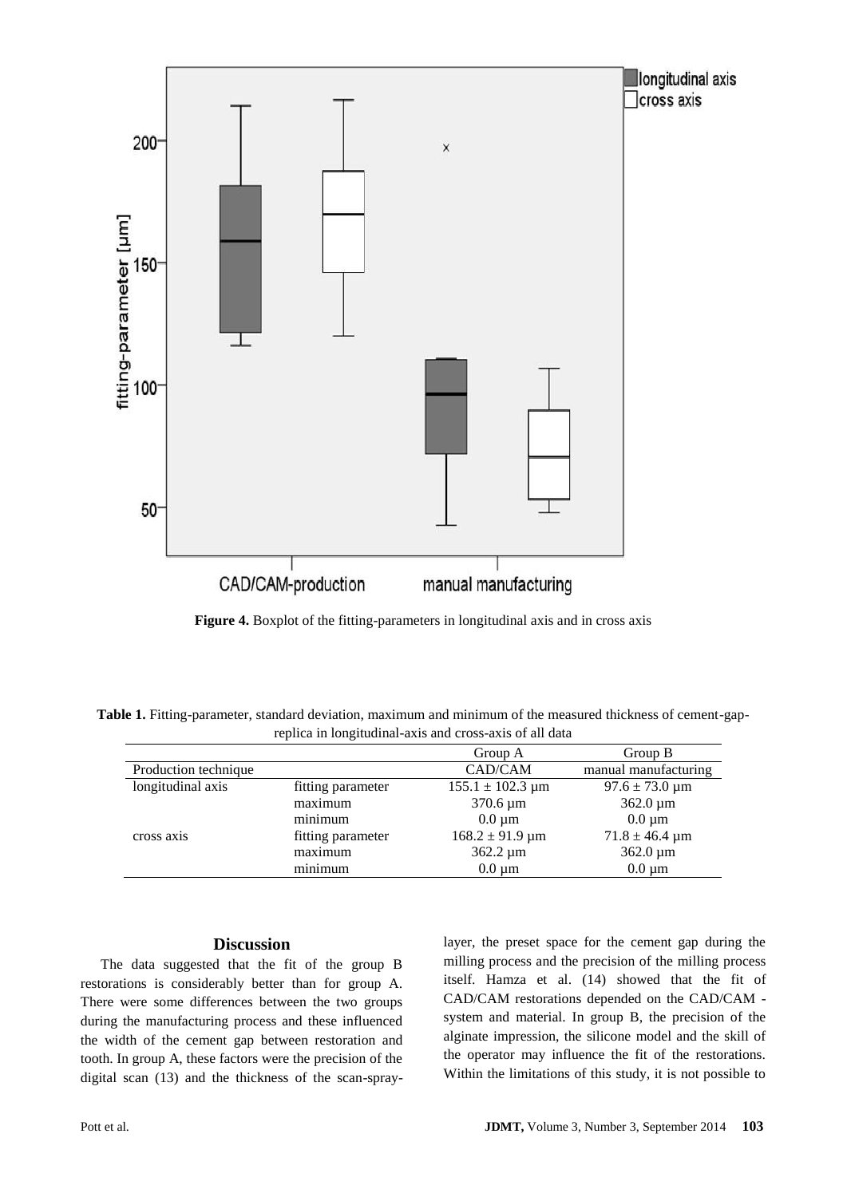

**Figure 4.** Boxplot of the fitting-parameters in longitudinal axis and in cross axis

**Table 1.** Fitting-parameter, standard deviation, maximum and minimum of the measured thickness of cement-gapreplica in longitudinal-axis and cross-axis of all data

|                      |                   | Group A                               | Group B                    |
|----------------------|-------------------|---------------------------------------|----------------------------|
| Production technique |                   | CAD/CAM                               | manual manufacturing       |
| longitudinal axis    | fitting parameter | $155.1 \pm 102.3 \text{ }\mu\text{m}$ | $97.6 \pm 73.0 \,\mu m$    |
|                      | maximum           | $370.6 \,\mu m$                       | $362.0 \,\mathrm{\upmu m}$ |
|                      | minimum           | $0.0 \mu m$                           | $0.0 \mu m$                |
| cross axis           | fitting parameter | $168.2 \pm 91.9 \,\text{\mu m}$       | $71.8 \pm 46.4 \,\mu m$    |
|                      | maximum           | $362.2 \,\mu m$                       | $362.0 \,\mathrm{\upmu m}$ |
|                      | minimum           | $0.0 \mu m$                           | $0.0 \mu m$                |

## **Discussion**

The data suggested that the fit of the group B restorations is considerably better than for group A. There were some differences between the two groups during the manufacturing process and these influenced the width of the cement gap between restoration and tooth. In group A, these factors were the precision of the digital scan (13) and the thickness of the scan-spraylayer, the preset space for the cement gap during the milling process and the precision of the milling process itself. Hamza et al. (14) showed that the fit of CAD/CAM restorations depended on the CAD/CAM system and material. In group B, the precision of the alginate impression, the silicone model and the skill of the operator may influence the fit of the restorations. Within the limitations of this study, it is not possible to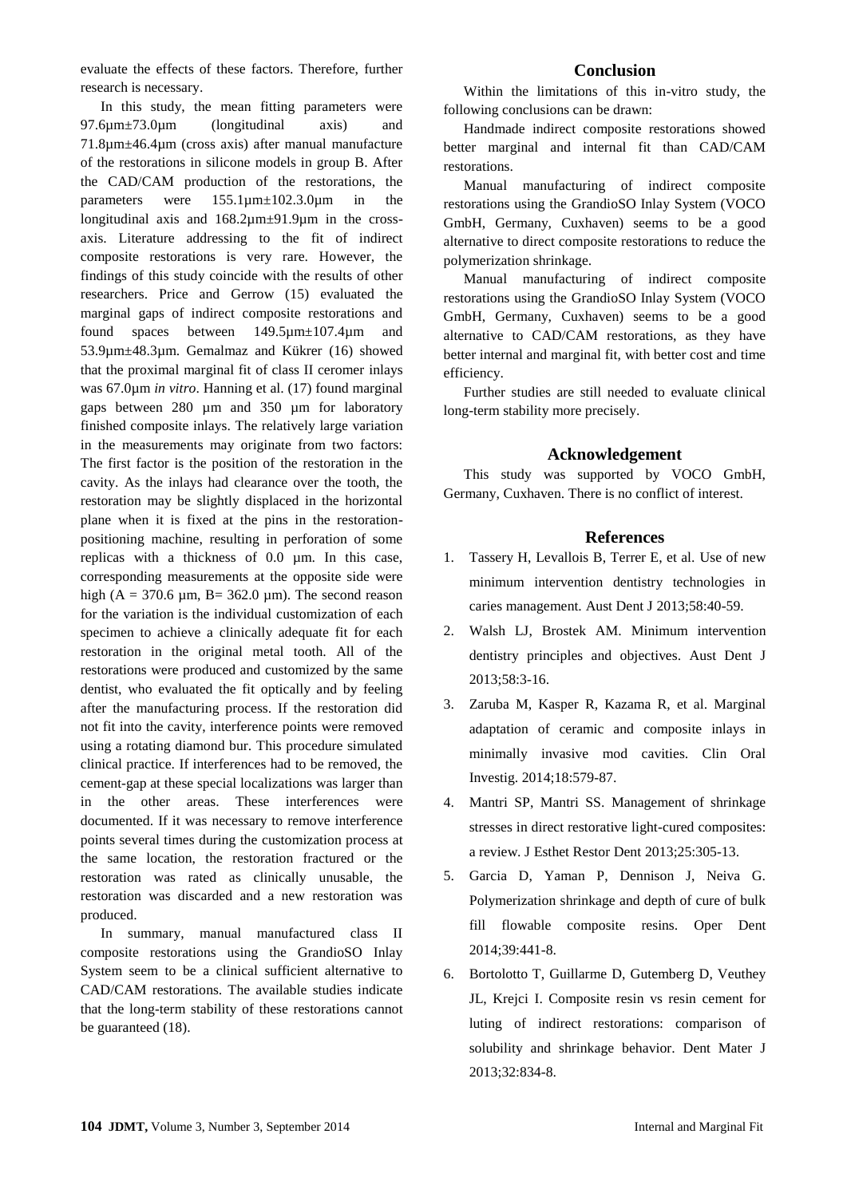evaluate the effects of these factors. Therefore, further research is necessary.

In this study, the mean fitting parameters were 97.6µm±73.0µm (longitudinal axis) and 71.8µm±46.4µm (cross axis) after manual manufacture of the restorations in silicone models in group B. After the CAD/CAM production of the restorations, the parameters were 155.1µm±102.3.0µm in the longitudinal axis and 168.2µm±91.9µm in the crossaxis. Literature addressing to the fit of indirect composite restorations is very rare. However, the findings of this study coincide with the results of other researchers. Price and Gerrow (15) evaluated the marginal gaps of indirect composite restorations and found spaces between 149.5µm±107.4µm and 53.9µm±48.3µm. Gemalmaz and Kükrer (16) showed that the proximal marginal fit of class II ceromer inlays was 67.0µm *in vitro*. Hanning et al. (17) found marginal gaps between 280 µm and 350 µm for laboratory finished composite inlays. The relatively large variation in the measurements may originate from two factors: The first factor is the position of the restoration in the cavity. As the inlays had clearance over the tooth, the restoration may be slightly displaced in the horizontal plane when it is fixed at the pins in the restorationpositioning machine, resulting in perforation of some replicas with a thickness of 0.0 µm. In this case, corresponding measurements at the opposite side were high (A = 370.6  $\mu$ m, B = 362.0  $\mu$ m). The second reason for the variation is the individual customization of each specimen to achieve a clinically adequate fit for each restoration in the original metal tooth. All of the restorations were produced and customized by the same dentist, who evaluated the fit optically and by feeling after the manufacturing process. If the restoration did not fit into the cavity, interference points were removed using a rotating diamond bur. This procedure simulated clinical practice. If interferences had to be removed, the cement-gap at these special localizations was larger than in the other areas. These interferences were documented. If it was necessary to remove interference points several times during the customization process at the same location, the restoration fractured or the restoration was rated as clinically unusable, the restoration was discarded and a new restoration was produced.

In summary, manual manufactured class II composite restorations using the GrandioSO Inlay System seem to be a clinical sufficient alternative to CAD/CAM restorations. The available studies indicate that the long-term stability of these restorations cannot be guaranteed (18).

#### **Conclusion**

Within the limitations of this in-vitro study, the following conclusions can be drawn:

Handmade indirect composite restorations showed better marginal and internal fit than CAD/CAM restorations.

Manual manufacturing of indirect composite restorations using the GrandioSO Inlay System (VOCO GmbH, Germany, Cuxhaven) seems to be a good alternative to direct composite restorations to reduce the polymerization shrinkage.

Manual manufacturing of indirect composite restorations using the GrandioSO Inlay System (VOCO GmbH, Germany, Cuxhaven) seems to be a good alternative to CAD/CAM restorations, as they have better internal and marginal fit, with better cost and time efficiency.

Further studies are still needed to evaluate clinical long-term stability more precisely.

#### **Acknowledgement**

This study was supported by VOCO GmbH, Germany, Cuxhaven. There is no conflict of interest.

#### **References**

- 1. Tassery H, Levallois B, Terrer E, et al. [Use of new](http://www.ncbi.nlm.nih.gov/pubmed/23721337)  [minimum intervention dentistry technologies in](http://www.ncbi.nlm.nih.gov/pubmed/23721337)  [caries management.](http://www.ncbi.nlm.nih.gov/pubmed/23721337) Aust Dent J 2013;58:40-59.
- 2. Walsh LJ, Brostek AM. Minimum intervention dentistry principles and objectives. Aust Dent J 2013;58:3-16.
- 3. Zaruba M, Kasper R, Kazama R, et al. Marginal adaptation of ceramic and composite inlays in minimally invasive mod cavities. Clin Oral Investig. 2014;18:579-87.
- 4. Mantri SP, Mantri SS. [Management of shrinkage](http://www.ncbi.nlm.nih.gov/pubmed/24148979)  [stresses in direct restorative light-cured composites:](http://www.ncbi.nlm.nih.gov/pubmed/24148979)  [a review.](http://www.ncbi.nlm.nih.gov/pubmed/24148979) J Esthet Restor Dent 2013;25:305-13.
- 5. Garcia D, Yaman P, Dennison J, Neiva G. Polymerization shrinkage and depth of cure of bulk fill flowable composite resins. Oper Dent 2014;39:441-8.
- 6. Bortolotto T, Guillarme D, Gutemberg D, Veuthey JL, Krejci I. Composite resin vs resin cement for luting of indirect restorations: comparison of solubility and shrinkage behavior. Dent Mater J 2013;32:834-8.